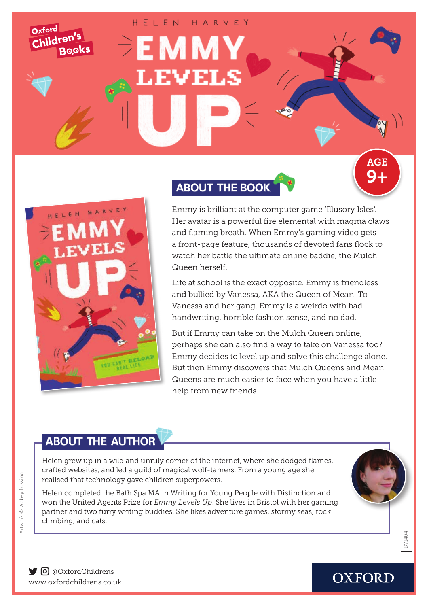HFIFN HARVEY



Oxford

Children's

**Books** 

# **ABOUT THE BOOK**



Emmy is brilliant at the computer game 'Illusory Isles'. Her avatar is a powerful fire elemental with magma claws and flaming breath. When Emmy's gaming video gets a front-page feature, thousands of devoted fans flock to watch her battle the ultimate online baddie, the Mulch Queen herself.

Life at school is the exact opposite. Emmy is friendless and bullied by Vanessa, AKA the Queen of Mean. To Vanessa and her gang, Emmy is a weirdo with bad handwriting, horrible fashion sense, and no dad.

But if Emmy can take on the Mulch Queen online, perhaps she can also find a way to take on Vanessa too? Emmy decides to level up and solve this challenge alone. But then Emmy discovers that Mulch Queens and Mean Queens are much easier to face when you have a little help from new friends . . .

## **ABOUT THE AUTHOR**

Helen grew up in a wild and unruly corner of the internet, where she dodged flames, crafted websites, and led a guild of magical wolf-tamers. From a young age she realised that technology gave children superpowers.

Helen completed the Bath Spa MA in Writing for Young People with Distinction and won the United Agents Prize for *Emmy Levels Up*. She lives in Bristol with her gaming partner and two furry writing buddies. She likes adventure games, stormy seas, rock climbing, and cats.



K71404

[www.oxford](http://www.oxfordowl.co.uk/christmas )childrens.co.uk  $\bigcirc$  **o** aOxfordChildrens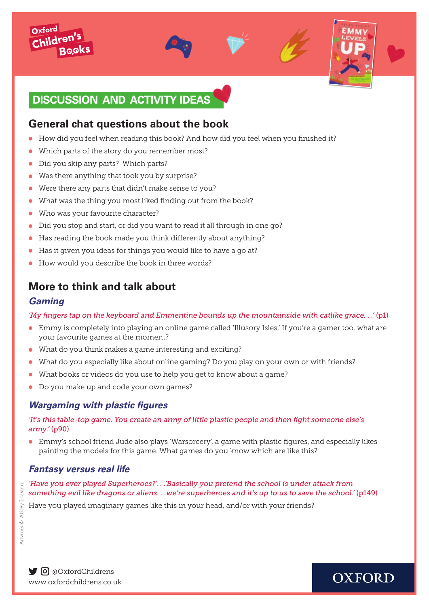

### **General chat questions about the book**

- How did you feel when reading this book? And how did you feel when you finished it?
- Which parts of the story do you remember most?
- Did you skip any parts? Which parts?
- Was there anything that took you by surprise?
- $\bullet$  Were there any parts that didn't make sense to you?
- What was the thing you most liked finding out from the book?
- $\bullet$  Who was your favourite character?
- $\bullet$  Did you stop and start, or did you want to read it all through in one go?
- $\bullet$  Has reading the book made you think differently about anything?
- Has it given you ideas for things you would like to have a go at?
- **I** How would you describe the book in three words?

## **More to think and talk about**

#### *Gaming*

*'My fingers tap on the keyboard and Emmentine bounds up the mountainside with catlike grace. . .'* (p1)

- $\bullet$  Emmy is completely into playing an online game called 'Illusory Isles.' If you're a gamer too, what are your favourite games at the moment?
- $\bullet$  What do you think makes a game interesting and exciting?
- <sup>l</sup> What do you especially like about online gaming? Do you play on your own or with friends?
- What books or videos do you use to help you get to know about a game?
- <sup>l</sup> Do you make up and code your own games?

### *Wargaming with plastic figures*

*'It's this table-top game. You create an army of little plastic people and then fight someone else's army.'* (p90)

• Emmy's school friend Jude also plays 'Warsorcery', a game with plastic figures, and especially likes painting the models for this game. What games do you know which are like this?

#### *Fantasy versus real life*

*'Have you ever played Superheroes?'. . .'Basically you pretend the school is under attack from something evil like dragons or aliens. . .we're superheroes and it's up to us to save the school.'* (p149)

Have you played imaginary games like this in your head, and/or with your friends?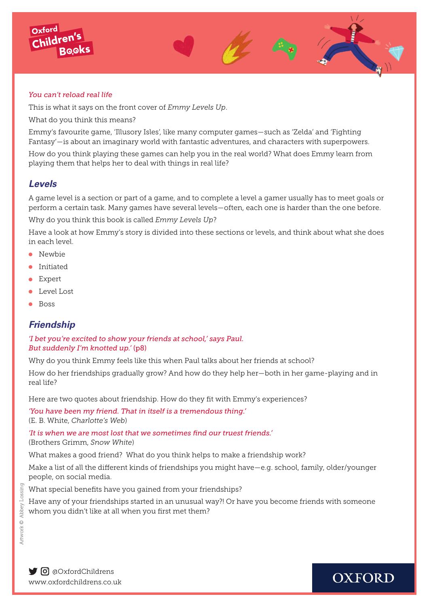

This is what it says on the front cover of *Emmy Levels Up*.

What do you think this means?

Emmy's favourite game, 'Illusory Isles', like many computer games—such as 'Zelda' and 'Fighting Fantasy'—is about an imaginary world with fantastic adventures, and characters with superpowers.

How do you think playing these games can help you in the real world? What does Emmy learn from playing them that helps her to deal with things in real life?

#### *Levels*

Oxford Childre

A game level is a section or part of a game, and to complete a level a gamer usually has to meet goals or perform a certain task. Many games have several levels—often, each one is harder than the one before.

Why do you think this book is called *Emmy Levels Up*?

Have a look at how Emmy's story is divided into these sections or levels, and think about what she does in each level.

- $\bullet$  Newbie
- $\bullet$  Initiated
- $\bullet$  Expert
- **Level Lost**
- $\bullet$  Boss

#### *Friendship*

#### *'I bet you're excited to show your friends at school,' says Paul. But suddenly I'm knotted up.'* (p8)

Why do you think Emmy feels like this when Paul talks about her friends at school?

How do her friendships gradually grow? And how do they help her—both in her game-playing and in real life?

Here are two quotes about friendship. How do they fit with Emmy's experiences?

*'You have been my friend. That in itself is a tremendous thing.'*  (E. B. White, *Charlotte's Web*)

*'It is when we are most lost that we sometimes find our truest friends.'* (Brothers Grimm, *Snow White*)

What makes a good friend? What do you think helps to make a friendship work?

Make a list of all the different kinds of friendships you might have—e.g. school, family, older/younger people, on social media.

What special benefits have you gained from your friendships?

Have any of your friendships started in an unusual way?! Or have you become friends with someone whom you didn't like at all when you first met them?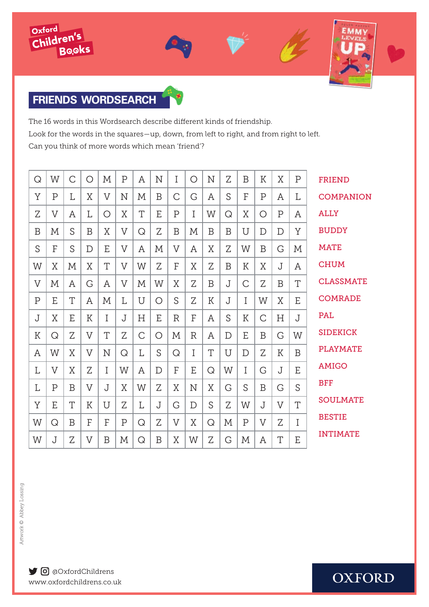



## **FRIENDS WORDSEARCH**

The 16 words in this Wordsearch describe different kinds of friendship. Look for the words in the squares—up, down, from left to right, and from right to left. Can you think of more words which mean 'friend'?

| Q              | W              | C            | О              | M           | $\mathbf P$    | Α            | $\mathbf N$ | Ι              | $\bigcirc$   | N           | Ζ           | B            | К              | X              | $\mathbf P$ | <b>FRIEND</b>    |
|----------------|----------------|--------------|----------------|-------------|----------------|--------------|-------------|----------------|--------------|-------------|-------------|--------------|----------------|----------------|-------------|------------------|
| Y              | $\overline{P}$ | L            | X              | V           | N              | M            | B           | C              | G            | Α           | S           | F            | $\mathsf{P}$   | Α              | L           | <b>COMPANION</b> |
| Z              | V              | Α            | L              | O           | X              | T            | E           | $\mathbf P$    | Ι            | W           | Q           | X            | O              | $\overline{P}$ | Α           | <b>ALLY</b>      |
| B              | $\mathbf{M}$   | S            | B              | X           | $\overline{V}$ | Q            | Z           | B              | $\mathbf{M}$ | B           | B           | U            | D              | $\mathbf D$    | Y           | <b>BUDDY</b>     |
| S              | F              | S            | D              | E           | $\overline{V}$ | A            | $\mathbf M$ | $\overline{V}$ | Α            | X           | Z           | W            | B              | G              | $\mathbf M$ | <b>MATE</b>      |
| W              | X              | $\mathbf{M}$ | X              | T           | V              | W            | Z           | F              | X            | Z           | B           | K            | X              | J              | Α           | <b>CHUM</b>      |
| $\overline{V}$ | M              | Α            | G              | A           | $\overline{V}$ | $\mathbf{M}$ | W           | X              | Z            | B           | J           | C            | Z              | B              | T           | <b>CLASSMATE</b> |
| $\mathbf P$    | E              | T            | Α              | M           | L              | U            | $\bigcirc$  | S              | Z            | $\mathbf K$ | J           | I            | W              | X              | E           | <b>COMRADE</b>   |
| J              | X              | E            | K              | I           | J              | H            | E           | $\mathbb{R}$   | F            | Α           | S           | К            | C              | Н              | J           | <b>PAL</b>       |
| $\mathbf K$    | Q              | Z            | $\overline{V}$ | T           | Ζ              | $\mathsf{C}$ | $\bigcirc$  | $\mathbf M$    | $\mathbb{R}$ | Α           | $\mathbf D$ | E            | B              | G              | W           | <b>SIDEKICK</b>  |
| Α              | W              | X            | $\overline{V}$ | $\mathbf N$ | Q              | L            | S           | Q              | I            | T           | U           | D            | Z              | К              | B           | <b>PLAYMATE</b>  |
| L              | $\overline{V}$ | Χ            | Z              | I           | W              | A            | D           | F              | E            | Q           | W           | $\mathbf I$  | G              | J              | E           | <b>AMIGO</b>     |
| L              | $\overline{P}$ | B            | V              | J           | X              | W            | Z           | X              | N            | X           | G           | S            | B              | G              | S           | <b>BFF</b>       |
| Y              | E              | T            | K              | U           | Z              | L            | J           | G              | $\mathbf D$  | S           | Z           | W            | J              | $\overline{V}$ | T           | <b>SOULMATE</b>  |
| W              | Q              | B            | F              | F           | Ρ              | Q            | Z           | $\overline{V}$ | X            | Q           | $\mathbf M$ | $\mathbf P$  | $\overline{V}$ | Z              | I           | <b>BESTIE</b>    |
| W              | J              | Z            | V              | B           | $\mathbf M$    | Q            | B           | Χ              | W            | Z           | G           | $\mathbf{M}$ | Α              | T              | E           | <b>INTIMATE</b>  |
|                |                |              |                |             |                |              |             |                |              |             |             |              |                |                |             |                  |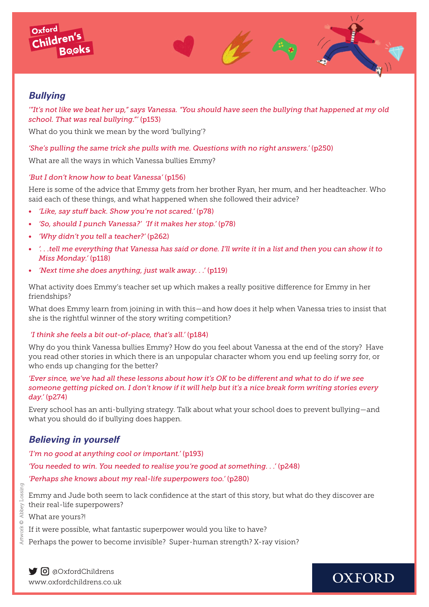



*'"It's not like we beat her up," says Vanessa. "You should have seen the bullying that happened at my old school. That was real bullying."'* (p153)

What do you think we mean by the word 'bullying'?

#### *'She's pulling the same trick she pulls with me. Questions with no right answers.'* (p250)

What are all the ways in which Vanessa bullies Emmy?

#### *'But I don't know how to beat Vanessa'* (p156)

Here is some of the advice that Emmy gets from her brother Ryan, her mum, and her headteacher. Who said each of these things, and what happened when she followed their advice?

- *• 'Like, say stuff back. Show you're not scared.'* (p78)
- *• 'So, should I punch Vanessa?' 'If it makes her stop.'* (p78)
- *• 'Why didn't you tell a teacher?'* (p262)
- *'. . .tell me everything that Vanessa has said or done. I'll write it in a list and then you can show it to Miss Monday.'* (p118)
- *• 'Next time she does anything, just walk away. . .'* (p119)

What activity does Emmy's teacher set up which makes a really positive difference for Emmy in her friendships?

What does Emmy learn from joining in with this—and how does it help when Vanessa tries to insist that she is the rightful winner of the story writing competition?

#### *'I think she feels a bit out-of-place, that's all.'* (p184)

Why do you think Vanessa bullies Emmy? How do you feel about Vanessa at the end of the story? Have you read other stories in which there is an unpopular character whom you end up feeling sorry for, or who ends up changing for the better?

*'Ever since, we've had all these lessons about how it's OK to be different and what to do if we see someone getting picked on. I don't know if it will help but it's a nice break form writing stories every day.'* (p274)

Every school has an anti-bullying strategy. Talk about what your school does to prevent bullying—and what you should do if bullying does happen.

#### *Believing in yourself*

*'I'm no good at anything cool or important.'* (p193) *'You needed to win. You needed to realise you're good at something. . .'* (p248) *'Perhaps she knows about my real-life superpowers too.'* (p280)

Emmy and Jude both seem to lack confidence at the start of this story, but what do they discover are their real-life superpowers?

What are yours?!

If it were possible, what fantastic superpower would you like to have?

Perhaps the power to become invisible? Super-human strength? X-ray vision?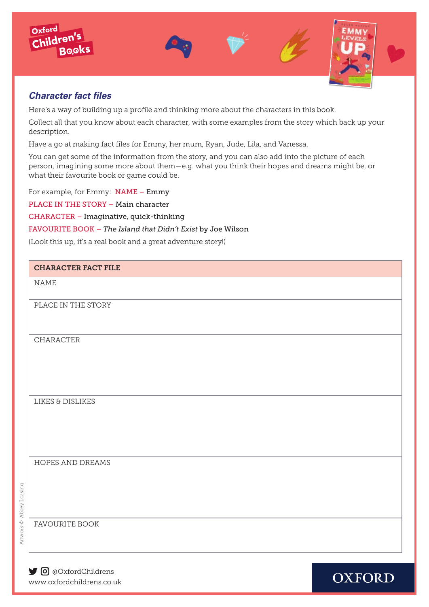



#### *Character fact files*

Here's a way of building up a profile and thinking more about the characters in this book.

Collect all that you know about each character, with some examples from the story which back up your description.

Have a go at making fact files for Emmy, her mum, Ryan, Jude, Lila, and Vanessa.

You can get some of the information from the story, and you can also add into the picture of each person, imagining some more about them—e.g. what you think their hopes and dreams might be, or what their favourite book or game could be.

For example, for Emmy: NAME – Emmy

PLACE IN THE STORY – Main character

CHARACTER – Imaginative, quick-thinking

FAVOURITE BOOK – *The Island that Didn't Exist* by Joe Wilson

(Look this up, it's a real book and a great adventure story!)

#### CHARACTER FACT FILE

NAME

PLACE IN THE STORY

CHARACTER

LIKES & DISLIKES

HOPES AND DREAMS

Artwork © Abbey Lossing Artwork © Abbey Lossing

FAVOURITE BOOK

[www.oxford](http://www.oxfordowl.co.uk/christmas )childrens.co.uk O @OxfordChildrens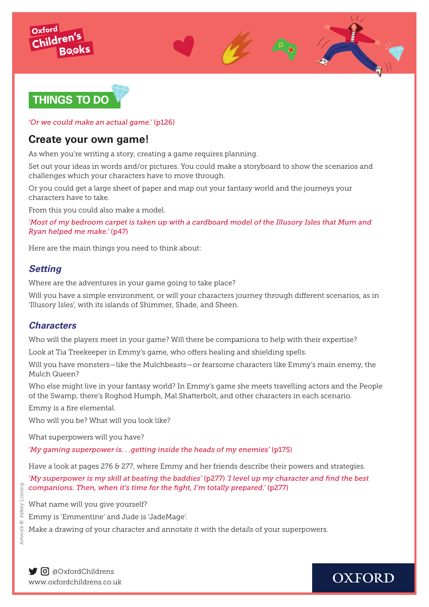



*'Or we could make an actual game.'* (p126)

### **Create your own game!**

As when you're writing a story, creating a game requires planning.

Set out your ideas in words and/or pictures. You could make a storyboard to show the scenarios and challenges which your characters have to move through.

Or you could get a large sheet of paper and map out your fantasy world and the journeys your characters have to take.

From this you could also make a model.

*'Most of my bedroom carpet is taken up with a cardboard model of the Illusory Isles that Mum and Ryan helped me make.'* (p47)

Here are the main things you need to think about:

### *Setting*

Where are the adventures in your game going to take place?

Will you have a simple environment, or will your characters journey through different scenarios, as in 'Illusory Isles', with its islands of Shimmer, Shade, and Sheen.

### *Characters*

Who will the players meet in your game? Will there be companions to help with their expertise?

Look at Tia Treekeeper in Emmy's game, who offers healing and shielding spells.

Will you have monsters—like the Mulchbeasts—or fearsome characters like Emmy's main enemy, the Mulch Queen?

Who else might live in your fantasy world? In Emmy's game she meets travelling actors and the People of the Swamp; there's Roghod Humph, Mal Shatterbolt, and other characters in each scenario.

Emmy is a fire elemental.

Who will you be? What will you look like?

What superpowers will you have?

*'My gaming superpower is. . .getting inside the heads of my enemies'* (p175)

Have a look at pages 276 & 277, where Emmy and her friends describe their powers and strategies.

*'My superpower is my skill at beating the baddies'* (p277) *'I level up my character and find the best companions. Then, when it's time for the fight, I'm totally prepared.'* (p277)

What name will you give yourself?

Emmy is 'Emmentine' and Jude is 'JadeMage'.

Make a drawing of your character and annotate it with the details of your superpowers.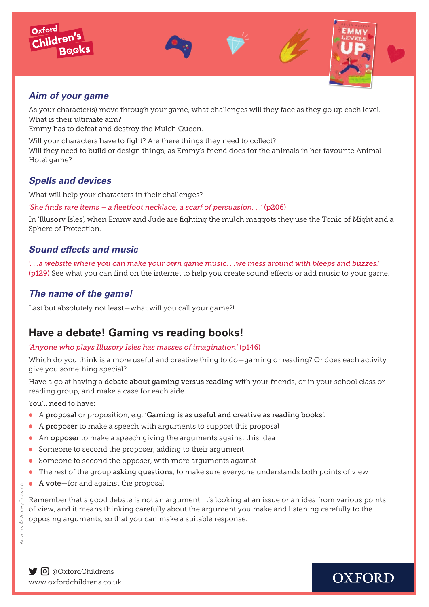







### *Aim of your game*

As your character(s) move through your game, what challenges will they face as they go up each level. What is their ultimate aim?

Emmy has to defeat and destroy the Mulch Queen.

Will your characters have to fight? Are there things they need to collect? Will they need to build or design things, as Emmy's friend does for the animals in her favourite Animal Hotel game?

### *Spells and devices*

What will help your characters in their challenges?

*'She finds rare items – a fleetfoot necklace, a scarf of persuasion. . .'* (p206)

In 'Illusory Isles', when Emmy and Jude are fighting the mulch maggots they use the Tonic of Might and a Sphere of Protection.

### *Sound effects and music*

*'. . .a website where you can make your own game music. . .we mess around with bleeps and buzzes.'*  (p129) See what you can find on the internet to help you create sound effects or add music to your game.

### *The name of the game!*

Last but absolutely not least—what will you call your game?!

## **Have a debate! Gaming vs reading books!**

#### *'Anyone who plays Illusory Isles has masses of imagination'* (p146)

Which do you think is a more useful and creative thing to do—gaming or reading? Or does each activity give you something special?

Have a go at having a debate about gaming versus reading with your friends, or in your school class or reading group, and make a case for each side.

You'll need to have:

- A proposal or proposition, e.g. 'Gaming is as useful and creative as reading books'.
- $\bullet$  A proposer to make a speech with arguments to support this proposal
- $\bullet$  An opposer to make a speech giving the arguments against this idea
- **•** Someone to second the proposer, adding to their argument
- **•** Someone to second the opposer, with more arguments against
- The rest of the group asking questions, to make sure everyone understands both points of view
- $\bullet$  A vote-for and against the proposal

Remember that a good debate is not an argument: it's looking at an issue or an idea from various points of view, and it means thinking carefully about the argument you make and listening carefully to the opposing arguments, so that you can make a suitable response.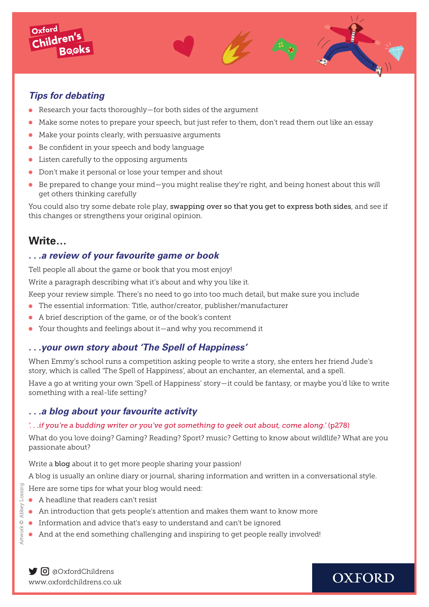

Oxford Childre

- **Research your facts thoroughly—for both sides of the argument**
- Make some notes to prepare your speech, but just refer to them, don't read them out like an essay
- $\bullet$  Make your points clearly, with persuasive arguments
- $\bullet$  Be confident in your speech and body language
- $\bullet$  Listen carefully to the opposing arguments
- **•** Don't make it personal or lose your temper and shout
- Be prepared to change your mind—you might realise they're right, and being honest about this will get others thinking carefully

You could also try some debate role play, swapping over so that you get to express both sides, and see if this changes or strengthens your original opinion.

### **Write…**

#### *. . .a review of your favourite game or book*

Tell people all about the game or book that you most enjoy!

Write a paragraph describing what it's about and why you like it.

Keep your review simple. There's no need to go into too much detail, but make sure you include

- $\bullet$  The essential information: Title, author/creator, publisher/manufacturer
- <sup>l</sup> A brief description of the game, or of the book's content
- Your thoughts and feelings about it—and why you recommend it

#### *. . .your own story about 'The Spell of Happiness'*

When Emmy's school runs a competition asking people to write a story, she enters her friend Jude's story, which is called 'The Spell of Happiness', about an enchanter, an elemental, and a spell.

Have a go at writing your own 'Spell of Happiness' story—it could be fantasy, or maybe you'd like to write something with a real-life setting?

#### *. . .a blog about your favourite activity*

#### *'. . .if you're a budding writer or you've got something to geek out about, come along.'* (p278)

What do you love doing? Gaming? Reading? Sport? music? Getting to know about wildlife? What are you passionate about?

Write a blog about it to get more people sharing your passion!

A blog is usually an online diary or journal, sharing information and written in a conversational style.

Here are some tips for what your blog would need:

- $\bullet$  A headline that readers can't resist
- $\bullet$  An introduction that gets people's attention and makes them want to know more
- **Information and advice that's easy to understand and can't be ignored**
- And at the end something challenging and inspiring to get people really involved!

Artwork © Abbey Lossing

Artwork<sup>O</sup>

Abbey Lossing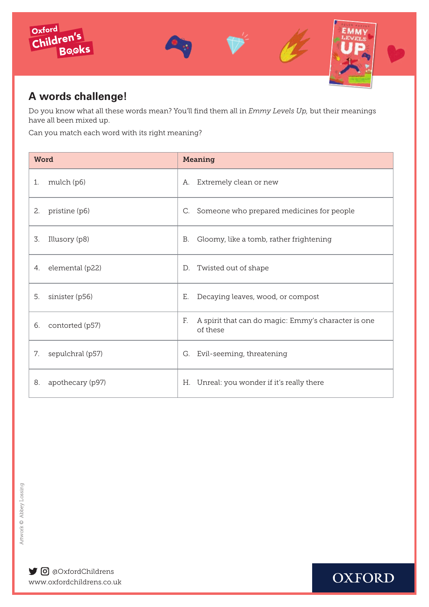

## **A words challenge!**

Do you know what all these words mean? You'll find them all in *Emmy Levels Up,* but their meanings have all been mixed up.

Can you match each word with its right meaning?

| Word                   | <b>Meaning</b>                                                        |  |  |  |  |  |  |  |  |
|------------------------|-----------------------------------------------------------------------|--|--|--|--|--|--|--|--|
| mulch (p6)             | Extremely clean or new                                                |  |  |  |  |  |  |  |  |
| 1.                     | А.                                                                    |  |  |  |  |  |  |  |  |
| pristine (p6)          | Someone who prepared medicines for people                             |  |  |  |  |  |  |  |  |
| 2.                     | C.                                                                    |  |  |  |  |  |  |  |  |
| 3.                     | Gloomy, like a tomb, rather frightening                               |  |  |  |  |  |  |  |  |
| Illusory (p8)          | В.                                                                    |  |  |  |  |  |  |  |  |
| elemental (p22)        | Twisted out of shape                                                  |  |  |  |  |  |  |  |  |
| 4.                     | D.                                                                    |  |  |  |  |  |  |  |  |
| 5.                     | Decaying leaves, wood, or compost                                     |  |  |  |  |  |  |  |  |
| sinister (p56)         | Е.                                                                    |  |  |  |  |  |  |  |  |
| 6.<br>contorted (p57)  | F.<br>A spirit that can do magic: Emmy's character is one<br>of these |  |  |  |  |  |  |  |  |
| 7.                     | Evil-seeming, threatening                                             |  |  |  |  |  |  |  |  |
| sepulchral (p57)       | G.                                                                    |  |  |  |  |  |  |  |  |
| apothecary (p97)<br>8. | H. Unreal: you wonder if it's really there                            |  |  |  |  |  |  |  |  |

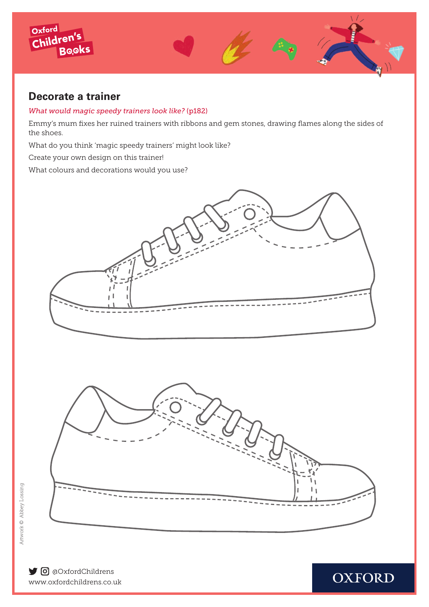

### **Decorate a trainer**

#### *What would magic speedy trainers look like?* (p182)

Emmy's mum fixes her ruined trainers with ribbons and gem stones, drawing flames along the sides of the shoes.

What do you think 'magic speedy trainers' might look like?

Create your own design on this trainer!

What colours and decorations would you use?





**OXFORD** 

[www.oxford](http://www.oxfordowl.co.uk/christmas )childrens.co.uk O @OxfordChildrens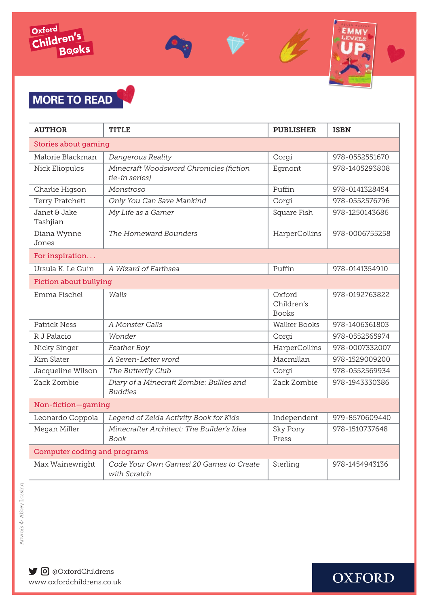



# **MORE TO READ**

| <b>AUTHOR</b>                       | <b>TITLE</b>                                               | <b>PUBLISHER</b>                     | <b>ISBN</b>    |  |  |  |  |  |  |  |  |  |
|-------------------------------------|------------------------------------------------------------|--------------------------------------|----------------|--|--|--|--|--|--|--|--|--|
| Stories about gaming                |                                                            |                                      |                |  |  |  |  |  |  |  |  |  |
| Malorie Blackman                    | Dangerous Reality                                          | Corgi                                | 978-0552551670 |  |  |  |  |  |  |  |  |  |
| Nick Eliopulos                      | Minecraft Woodsword Chronicles (fiction<br>tie-in series)  | Egmont                               | 978-1405293808 |  |  |  |  |  |  |  |  |  |
| Charlie Higson                      | Monstroso                                                  | Puffin                               | 978-0141328454 |  |  |  |  |  |  |  |  |  |
| Terry Pratchett                     | Only You Can Save Mankind                                  | Corgi                                | 978-0552576796 |  |  |  |  |  |  |  |  |  |
| Janet & Jake<br>Tashjian            | My Life as a Gamer                                         | Square Fish                          | 978-1250143686 |  |  |  |  |  |  |  |  |  |
| Diana Wynne<br>Jones                | The Homeward Bounders                                      | HarperCollins                        | 978-0006755258 |  |  |  |  |  |  |  |  |  |
| For inspiration                     |                                                            |                                      |                |  |  |  |  |  |  |  |  |  |
| Ursula K. Le Guin                   | A Wizard of Earthsea                                       | Puffin                               | 978-0141354910 |  |  |  |  |  |  |  |  |  |
| <b>Fiction about bullying</b>       |                                                            |                                      |                |  |  |  |  |  |  |  |  |  |
| Emma Fischel                        | Walls                                                      | Oxford<br>Children's<br><b>Books</b> | 978-0192763822 |  |  |  |  |  |  |  |  |  |
| <b>Patrick Ness</b>                 | A Monster Calls                                            | <b>Walker Books</b>                  | 978-1406361803 |  |  |  |  |  |  |  |  |  |
| R J Palacio                         | Wonder                                                     | Corgi                                | 978-0552565974 |  |  |  |  |  |  |  |  |  |
| Nicky Singer                        | Feather Boy                                                | HarperCollins                        | 978-0007332007 |  |  |  |  |  |  |  |  |  |
| Kim Slater                          | A Seven-Letter word                                        | Macmillan                            | 978-1529009200 |  |  |  |  |  |  |  |  |  |
| Jacqueline Wilson                   | The Butterfly Club                                         | Corgi                                | 978-0552569934 |  |  |  |  |  |  |  |  |  |
| Zack Zombie                         | Diary of a Minecraft Zombie: Bullies and<br><b>Buddies</b> | Zack Zombie                          | 978-1943330386 |  |  |  |  |  |  |  |  |  |
| Non-fiction-gaming                  |                                                            |                                      |                |  |  |  |  |  |  |  |  |  |
| Leonardo Coppola                    | Legend of Zelda Activity Book for Kids                     | Independent                          | 979-8570609440 |  |  |  |  |  |  |  |  |  |
| Megan Miller                        | Minecrafter Architect: The Builder's Idea<br>Book          | <b>Sky Pony</b><br>Press             | 978-1510737648 |  |  |  |  |  |  |  |  |  |
| <b>Computer coding and programs</b> |                                                            |                                      |                |  |  |  |  |  |  |  |  |  |
| Max Wainewright                     | Code Your Own Games! 20 Games to Create<br>with Scratch    | Sterling                             | 978-1454943136 |  |  |  |  |  |  |  |  |  |